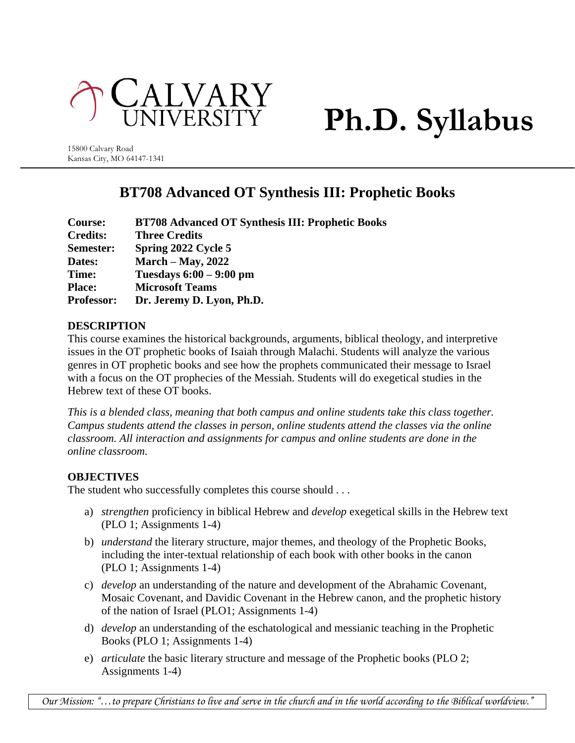

# **Ph.D. Syllabus**

15800 Calvary Road Kansas City, MO 64147-1341

# **BT708 Advanced OT Synthesis III: Prophetic Books**

| <b>Course:</b>    | <b>BT708 Advanced OT Synthesis III: Prophetic Books</b> |
|-------------------|---------------------------------------------------------|
| <b>Credits:</b>   | <b>Three Credits</b>                                    |
| Semester:         | Spring 2022 Cycle 5                                     |
| Dates:            | March $-$ May, 2022                                     |
| Time:             | Tuesdays $6:00 - 9:00$ pm                               |
| <b>Place:</b>     | <b>Microsoft Teams</b>                                  |
| <b>Professor:</b> | Dr. Jeremy D. Lyon, Ph.D.                               |

# **DESCRIPTION**

This course examines the historical backgrounds, arguments, biblical theology, and interpretive issues in the OT prophetic books of Isaiah through Malachi. Students will analyze the various genres in OT prophetic books and see how the prophets communicated their message to Israel with a focus on the OT prophecies of the Messiah. Students will do exegetical studies in the Hebrew text of these OT books.

*This is a blended class, meaning that both campus and online students take this class together. Campus students attend the classes in person, online students attend the classes via the online classroom. All interaction and assignments for campus and online students are done in the online classroom.*

# **OBJECTIVES**

The student who successfully completes this course should . . .

- a) *strengthen* proficiency in biblical Hebrew and *develop* exegetical skills in the Hebrew text (PLO 1; Assignments 1-4)
- b) *understand* the literary structure, major themes, and theology of the Prophetic Books, including the inter-textual relationship of each book with other books in the canon (PLO 1; Assignments 1-4)
- c) *develop* an understanding of the nature and development of the Abrahamic Covenant, Mosaic Covenant, and Davidic Covenant in the Hebrew canon, and the prophetic history of the nation of Israel (PLO1; Assignments 1-4)
- d) *develop* an understanding of the eschatological and messianic teaching in the Prophetic Books (PLO 1; Assignments 1-4)
- e) *articulate* the basic literary structure and message of the Prophetic books (PLO 2; Assignments 1-4)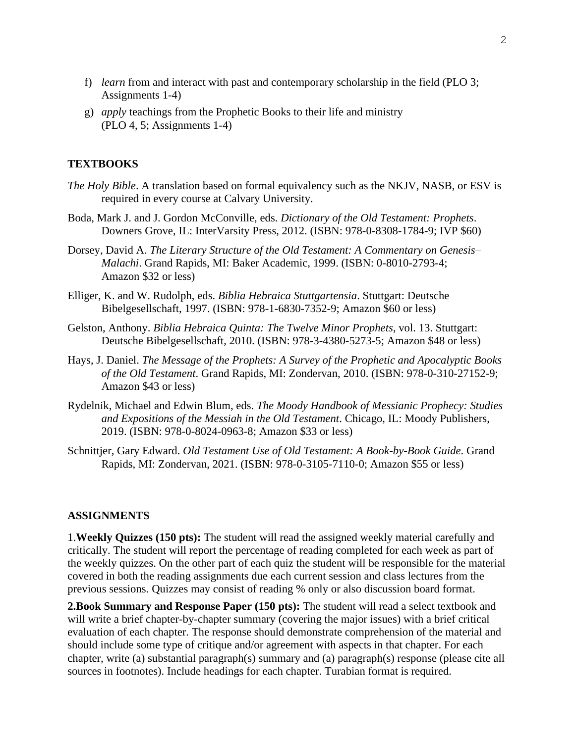- f) *learn* from and interact with past and contemporary scholarship in the field (PLO 3; Assignments 1-4)
- g) *apply* teachings from the Prophetic Books to their life and ministry (PLO 4, 5; Assignments 1-4)

#### **TEXTBOOKS**

- *The Holy Bible*. A translation based on formal equivalency such as the NKJV, NASB, or ESV is required in every course at Calvary University.
- Boda, Mark J. and J. Gordon McConville, eds. *Dictionary of the Old Testament: Prophets*. Downers Grove, IL: InterVarsity Press, 2012. (ISBN: 978-0-8308-1784-9; IVP \$60)
- Dorsey, David A. *The Literary Structure of the Old Testament: A Commentary on Genesis– Malachi*. Grand Rapids, MI: Baker Academic, 1999. (ISBN: 0-8010-2793-4; Amazon \$32 or less)
- Elliger, K. and W. Rudolph, eds. *Biblia Hebraica Stuttgartensia*. Stuttgart: Deutsche Bibelgesellschaft, 1997. (ISBN: 978-1-6830-7352-9; Amazon \$60 or less)
- Gelston, Anthony. *Biblia Hebraica Quinta: The Twelve Minor Prophets*, vol. 13. Stuttgart: Deutsche Bibelgesellschaft, 2010. (ISBN: 978-3-4380-5273-5; Amazon \$48 or less)
- Hays, J. Daniel. *The Message of the Prophets: A Survey of the Prophetic and Apocalyptic Books of the Old Testament*. Grand Rapids, MI: Zondervan, 2010. (ISBN: 978-0-310-27152-9; Amazon \$43 or less)
- Rydelnik, Michael and Edwin Blum, eds. *The Moody Handbook of Messianic Prophecy: Studies and Expositions of the Messiah in the Old Testament*. Chicago, IL: Moody Publishers, 2019. (ISBN: 978-0-8024-0963-8; Amazon \$33 or less)
- Schnittjer, Gary Edward. *Old Testament Use of Old Testament: A Book-by-Book Guide*. Grand Rapids, MI: Zondervan, 2021. (ISBN: 978-0-3105-7110-0; Amazon \$55 or less)

#### **ASSIGNMENTS**

1.**Weekly Quizzes (150 pts):** The student will read the assigned weekly material carefully and critically. The student will report the percentage of reading completed for each week as part of the weekly quizzes. On the other part of each quiz the student will be responsible for the material covered in both the reading assignments due each current session and class lectures from the previous sessions. Quizzes may consist of reading % only or also discussion board format.

**2.Book Summary and Response Paper (150 pts):** The student will read a select textbook and will write a brief chapter-by-chapter summary (covering the major issues) with a brief critical evaluation of each chapter. The response should demonstrate comprehension of the material and should include some type of critique and/or agreement with aspects in that chapter. For each chapter, write (a) substantial paragraph(s) summary and (a) paragraph(s) response (please cite all sources in footnotes). Include headings for each chapter. Turabian format is required.